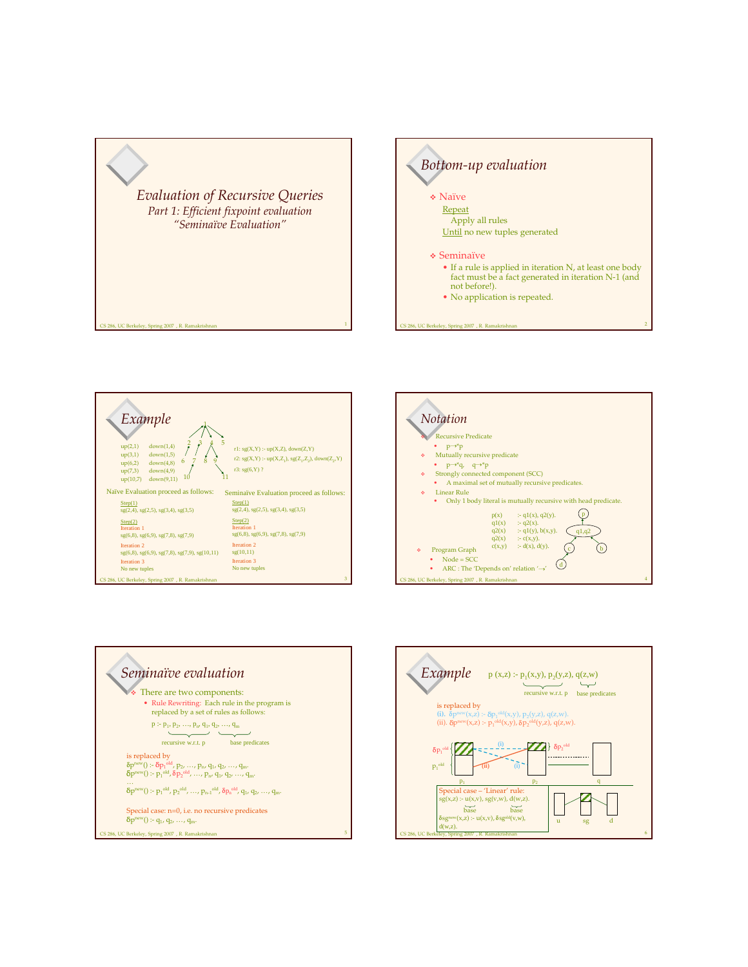